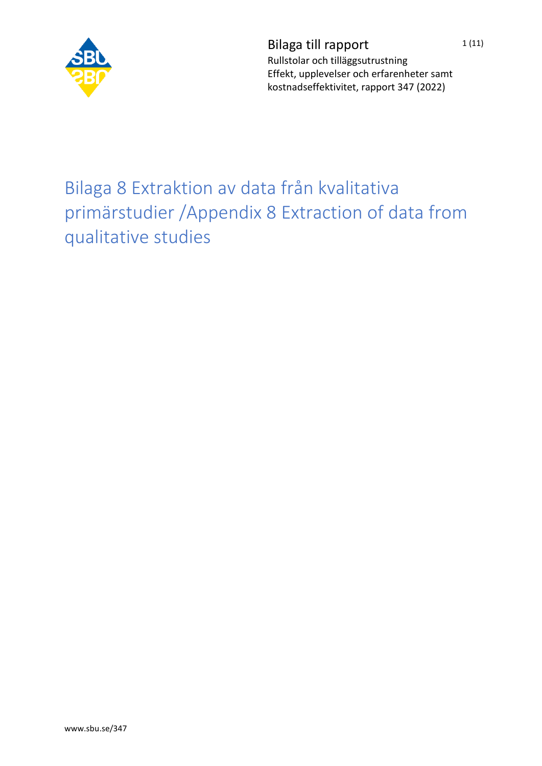

Bilaga till rapport  $1(11)$ Rullstolar och tilläggsutrustning Effekt, upplevelser och erfarenheter samt kostnadseffektivitet, rapport 347 (2022)

## Bilaga 8 Extraktion av data från kvalitativa primärstudier /Appendix 8 Extraction of data from qualitative studies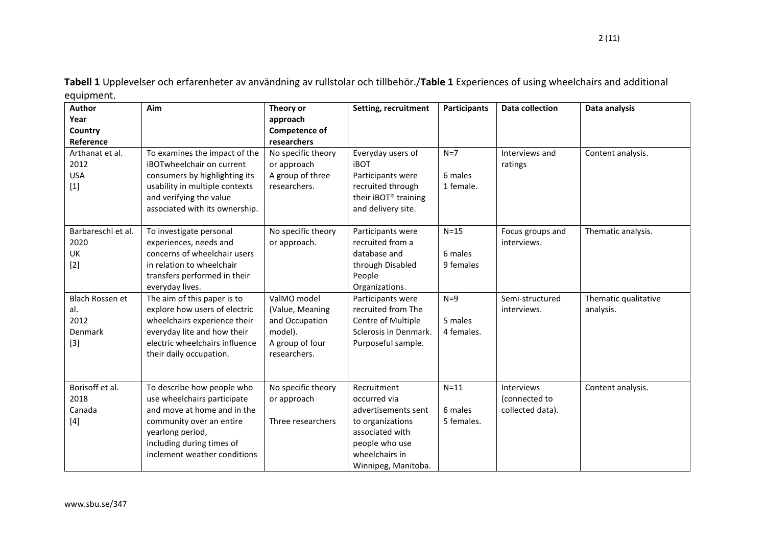**Tabell 1** Upplevelser och erfarenheter av användning av rullstolar och tillbehör./**Table 1** Experiences of using wheelchairs and additional equipment.

| Author             | Aim                            | Theory or            | Setting, recruitment  | <b>Participants</b> | <b>Data collection</b> | Data analysis        |
|--------------------|--------------------------------|----------------------|-----------------------|---------------------|------------------------|----------------------|
| Year               |                                | approach             |                       |                     |                        |                      |
| Country            |                                | <b>Competence of</b> |                       |                     |                        |                      |
| Reference          |                                | researchers          |                       |                     |                        |                      |
| Arthanat et al.    | To examines the impact of the  | No specific theory   | Everyday users of     | $N=7$               | Interviews and         | Content analysis.    |
| 2012               | iBOTwheelchair on current      | or approach          | <b>iBOT</b>           |                     | ratings                |                      |
| <b>USA</b>         | consumers by highlighting its  | A group of three     | Participants were     | 6 males             |                        |                      |
| $[1]$              | usability in multiple contexts | researchers.         | recruited through     | 1 female.           |                        |                      |
|                    | and verifying the value        |                      | their iBOT® training  |                     |                        |                      |
|                    | associated with its ownership. |                      | and delivery site.    |                     |                        |                      |
| Barbareschi et al. | To investigate personal        | No specific theory   | Participants were     | $N=15$              | Focus groups and       | Thematic analysis.   |
| 2020               | experiences, needs and         | or approach.         | recruited from a      |                     | interviews.            |                      |
| UK                 | concerns of wheelchair users   |                      | database and          | 6 males             |                        |                      |
| $[2]$              | in relation to wheelchair      |                      | through Disabled      | 9 females           |                        |                      |
|                    | transfers performed in their   |                      | People                |                     |                        |                      |
|                    | everyday lives.                |                      | Organizations.        |                     |                        |                      |
| Blach Rossen et    | The aim of this paper is to    | ValMO model          | Participants were     | $N=9$               | Semi-structured        | Thematic qualitative |
| al.                | explore how users of electric  | (Value, Meaning      | recruited from The    |                     | interviews.            | analysis.            |
| 2012               | wheelchairs experience their   | and Occupation       | Centre of Multiple    | 5 males             |                        |                      |
| Denmark            | everyday lite and how their    | model).              | Sclerosis in Denmark. | 4 females.          |                        |                      |
| $[3]$              | electric wheelchairs influence | A group of four      | Purposeful sample.    |                     |                        |                      |
|                    | their daily occupation.        | researchers.         |                       |                     |                        |                      |
|                    |                                |                      |                       |                     |                        |                      |
| Borisoff et al.    | To describe how people who     | No specific theory   | Recruitment           | $N = 11$            | Interviews             | Content analysis.    |
| 2018               | use wheelchairs participate    | or approach          | occurred via          |                     | (connected to          |                      |
| Canada             | and move at home and in the    |                      | advertisements sent   | 6 males             | collected data).       |                      |
| $[4]$              | community over an entire       | Three researchers    | to organizations      | 5 females.          |                        |                      |
|                    | yearlong period,               |                      | associated with       |                     |                        |                      |
|                    | including during times of      |                      | people who use        |                     |                        |                      |
|                    | inclement weather conditions   |                      | wheelchairs in        |                     |                        |                      |
|                    |                                |                      | Winnipeg, Manitoba.   |                     |                        |                      |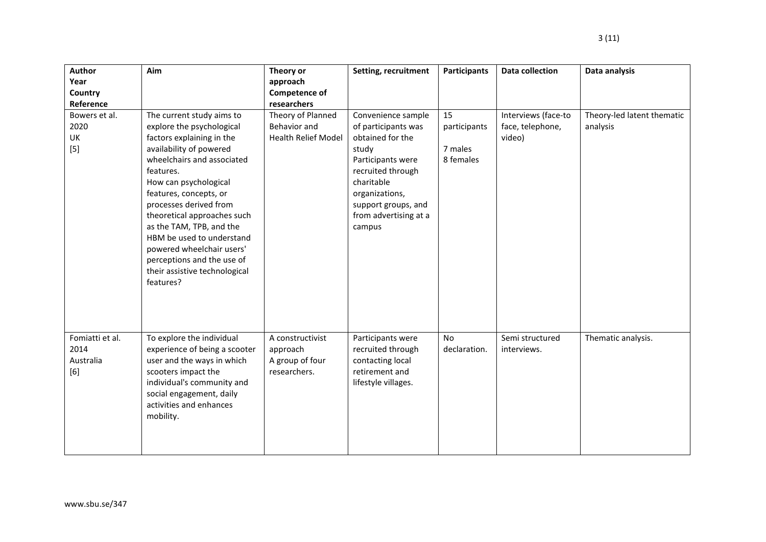| Author          | Aim                           | Theory or                  | Setting, recruitment  | <b>Participants</b> | <b>Data collection</b> | Data analysis              |
|-----------------|-------------------------------|----------------------------|-----------------------|---------------------|------------------------|----------------------------|
| Year<br>Country |                               | approach<br>Competence of  |                       |                     |                        |                            |
| Reference       |                               | researchers                |                       |                     |                        |                            |
| Bowers et al.   | The current study aims to     | Theory of Planned          | Convenience sample    | 15                  | Interviews (face-to    | Theory-led latent thematic |
| 2020            | explore the psychological     | Behavior and               | of participants was   | participants        | face, telephone,       | analysis                   |
| UK              | factors explaining in the     | <b>Health Relief Model</b> | obtained for the      |                     | video)                 |                            |
| $[5]$           | availability of powered       |                            | study                 | 7 males             |                        |                            |
|                 | wheelchairs and associated    |                            | Participants were     | 8 females           |                        |                            |
|                 | features.                     |                            | recruited through     |                     |                        |                            |
|                 | How can psychological         |                            | charitable            |                     |                        |                            |
|                 | features, concepts, or        |                            | organizations,        |                     |                        |                            |
|                 | processes derived from        |                            | support groups, and   |                     |                        |                            |
|                 | theoretical approaches such   |                            | from advertising at a |                     |                        |                            |
|                 | as the TAM, TPB, and the      |                            | campus                |                     |                        |                            |
|                 | HBM be used to understand     |                            |                       |                     |                        |                            |
|                 | powered wheelchair users'     |                            |                       |                     |                        |                            |
|                 | perceptions and the use of    |                            |                       |                     |                        |                            |
|                 | their assistive technological |                            |                       |                     |                        |                            |
|                 | features?                     |                            |                       |                     |                        |                            |
|                 |                               |                            |                       |                     |                        |                            |
|                 |                               |                            |                       |                     |                        |                            |
|                 |                               |                            |                       |                     |                        |                            |
|                 |                               |                            |                       |                     |                        |                            |
| Fomiatti et al. | To explore the individual     | A constructivist           | Participants were     | <b>No</b>           | Semi structured        | Thematic analysis.         |
| 2014            | experience of being a scooter | approach                   | recruited through     | declaration.        | interviews.            |                            |
| Australia       | user and the ways in which    | A group of four            | contacting local      |                     |                        |                            |
| [6]             | scooters impact the           | researchers.               | retirement and        |                     |                        |                            |
|                 | individual's community and    |                            | lifestyle villages.   |                     |                        |                            |
|                 | social engagement, daily      |                            |                       |                     |                        |                            |
|                 | activities and enhances       |                            |                       |                     |                        |                            |
|                 | mobility.                     |                            |                       |                     |                        |                            |
|                 |                               |                            |                       |                     |                        |                            |
|                 |                               |                            |                       |                     |                        |                            |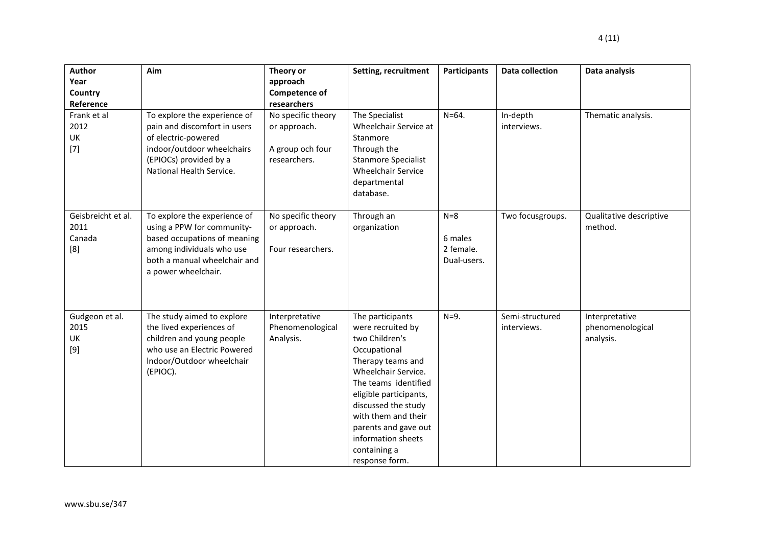| <b>Author</b><br>Year<br>Country<br>Reference | Aim                                                                                                                                                                            | Theory or<br>approach<br>Competence of<br>researchers                  | Setting, recruitment                                                                                                                                                                                                                                                                                | <b>Participants</b>                          | <b>Data collection</b>         | Data analysis                                   |
|-----------------------------------------------|--------------------------------------------------------------------------------------------------------------------------------------------------------------------------------|------------------------------------------------------------------------|-----------------------------------------------------------------------------------------------------------------------------------------------------------------------------------------------------------------------------------------------------------------------------------------------------|----------------------------------------------|--------------------------------|-------------------------------------------------|
| Frank et al<br>2012<br>UK<br>$[7]$            | To explore the experience of<br>pain and discomfort in users<br>of electric-powered<br>indoor/outdoor wheelchairs<br>(EPIOCs) provided by a<br>National Health Service.        | No specific theory<br>or approach.<br>A group och four<br>researchers. | The Specialist<br>Wheelchair Service at<br>Stanmore<br>Through the<br><b>Stanmore Specialist</b><br><b>Wheelchair Service</b><br>departmental<br>database.                                                                                                                                          | $N = 64.$                                    | In-depth<br>interviews.        | Thematic analysis.                              |
| Geisbreicht et al.<br>2011<br>Canada<br>[8]   | To explore the experience of<br>using a PPW for community-<br>based occupations of meaning<br>among individuals who use<br>both a manual wheelchair and<br>a power wheelchair. | No specific theory<br>or approach.<br>Four researchers.                | Through an<br>organization                                                                                                                                                                                                                                                                          | $N=8$<br>6 males<br>2 female.<br>Dual-users. | Two focusgroups.               | Qualitative descriptive<br>method.              |
| Gudgeon et al.<br>2015<br>UK<br>$[9]$         | The study aimed to explore<br>the lived experiences of<br>children and young people<br>who use an Electric Powered<br>Indoor/Outdoor wheelchair<br>(EPIOC).                    | Interpretative<br>Phenomenological<br>Analysis.                        | The participants<br>were recruited by<br>two Children's<br>Occupational<br>Therapy teams and<br>Wheelchair Service.<br>The teams identified<br>eligible participants,<br>discussed the study<br>with them and their<br>parents and gave out<br>information sheets<br>containing a<br>response form. | $N=9$ .                                      | Semi-structured<br>interviews. | Interpretative<br>phenomenological<br>analysis. |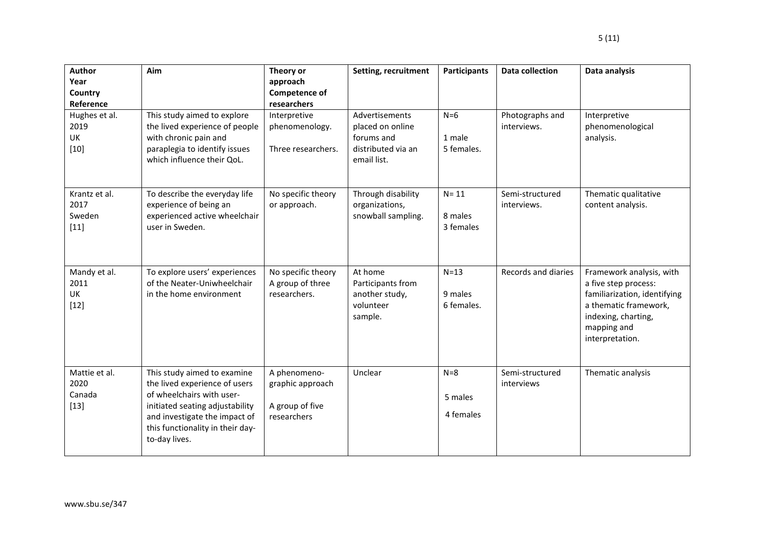| <b>Author</b><br>Year<br>Country<br>Reference | Aim                                                                                                                                                                                                                | Theory or<br>approach<br><b>Competence of</b><br>researchers       | Setting, recruitment                                                                  | <b>Participants</b>               | <b>Data collection</b>         | Data analysis                                                                                                                                                      |
|-----------------------------------------------|--------------------------------------------------------------------------------------------------------------------------------------------------------------------------------------------------------------------|--------------------------------------------------------------------|---------------------------------------------------------------------------------------|-----------------------------------|--------------------------------|--------------------------------------------------------------------------------------------------------------------------------------------------------------------|
| Hughes et al.<br>2019<br>UK<br>$[10]$         | This study aimed to explore<br>the lived experience of people<br>with chronic pain and<br>paraplegia to identify issues<br>which influence their QoL.                                                              | Interpretive<br>phenomenology.<br>Three researchers.               | Advertisements<br>placed on online<br>forums and<br>distributed via an<br>email list. | $N=6$<br>1 male<br>5 females.     | Photographs and<br>interviews. | Interpretive<br>phenomenological<br>analysis.                                                                                                                      |
| Krantz et al.<br>2017<br>Sweden<br>$[11]$     | To describe the everyday life<br>experience of being an<br>experienced active wheelchair<br>user in Sweden.                                                                                                        | No specific theory<br>or approach.                                 | Through disability<br>organizations,<br>snowball sampling.                            | $N = 11$<br>8 males<br>3 females  | Semi-structured<br>interviews. | Thematic qualitative<br>content analysis.                                                                                                                          |
| Mandy et al.<br>2011<br>UK<br>$[12]$          | To explore users' experiences<br>of the Neater-Uniwheelchair<br>in the home environment                                                                                                                            | No specific theory<br>A group of three<br>researchers.             | At home<br>Participants from<br>another study,<br>volunteer<br>sample.                | $N = 13$<br>9 males<br>6 females. | Records and diaries            | Framework analysis, with<br>a five step process:<br>familiarization, identifying<br>a thematic framework,<br>indexing, charting,<br>mapping and<br>interpretation. |
| Mattie et al.<br>2020<br>Canada<br>$[13]$     | This study aimed to examine<br>the lived experience of users<br>of wheelchairs with user-<br>initiated seating adjustability<br>and investigate the impact of<br>this functionality in their day-<br>to-day lives. | A phenomeno-<br>graphic approach<br>A group of five<br>researchers | Unclear                                                                               | $N=8$<br>5 males<br>4 females     | Semi-structured<br>interviews  | Thematic analysis                                                                                                                                                  |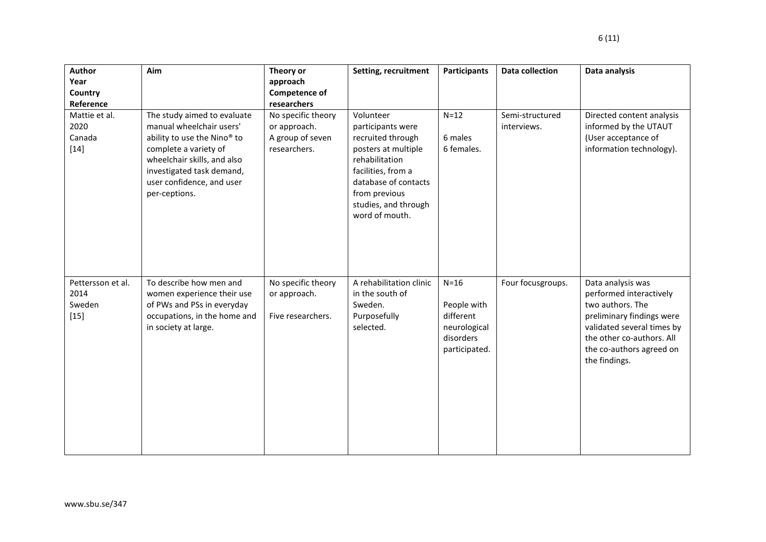| Author<br>Year<br>Country<br>Reference<br>Mattie et al.<br>2020<br>Canada<br>$[14]$ | Aim<br>The study aimed to evaluate<br>manual wheelchair users'<br>ability to use the Nino <sup>®</sup> to<br>complete a variety of<br>wheelchair skills, and also<br>investigated task demand,<br>user confidence, and user<br>per-ceptions. | Theory or<br>approach<br>Competence of<br>researchers<br>No specific theory<br>or approach.<br>A group of seven<br>researchers. | Setting, recruitment<br>Volunteer<br>participants were<br>recruited through<br>posters at multiple<br>rehabilitation<br>facilities, from a<br>database of contacts<br>from previous<br>studies, and through<br>word of mouth. | Participants<br>$N=12$<br>6 males<br>6 females.                                  | <b>Data collection</b><br>Semi-structured<br>interviews. | Data analysis<br>Directed content analysis<br>informed by the UTAUT<br>(User acceptance of<br>information technology).                                                                                |
|-------------------------------------------------------------------------------------|----------------------------------------------------------------------------------------------------------------------------------------------------------------------------------------------------------------------------------------------|---------------------------------------------------------------------------------------------------------------------------------|-------------------------------------------------------------------------------------------------------------------------------------------------------------------------------------------------------------------------------|----------------------------------------------------------------------------------|----------------------------------------------------------|-------------------------------------------------------------------------------------------------------------------------------------------------------------------------------------------------------|
| Pettersson et al.<br>2014<br>Sweden<br>$[15]$                                       | To describe how men and<br>women experience their use<br>of PWs and PSs in everyday<br>occupations, in the home and<br>in society at large.                                                                                                  | No specific theory<br>or approach.<br>Five researchers.                                                                         | A rehabilitation clinic<br>in the south of<br>Sweden.<br>Purposefully<br>selected.                                                                                                                                            | $N=16$<br>People with<br>different<br>neurological<br>disorders<br>participated. | Four focusgroups.                                        | Data analysis was<br>performed interactively<br>two authors. The<br>preliminary findings were<br>validated several times by<br>the other co-authors. All<br>the co-authors agreed on<br>the findings. |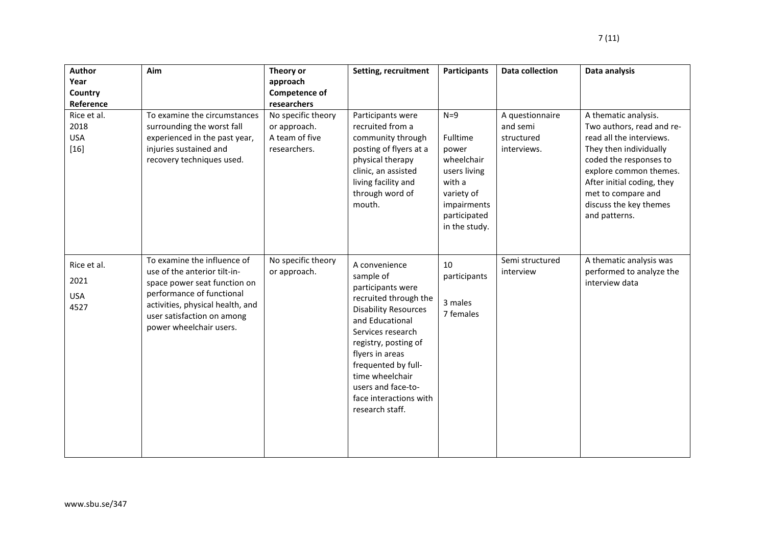| Author<br>Year<br>Country<br>Reference<br>Rice et al.<br>2018 | Aim<br>To examine the circumstances<br>surrounding the worst fall                                                                                                                                                     | Theory or<br>approach<br><b>Competence of</b><br>researchers<br>No specific theory<br>or approach. | Setting, recruitment<br>Participants were<br>recruited from a                                                                                                                                                                                                                                           | Participants<br>$N=9$                                                                                                   | <b>Data collection</b><br>A questionnaire<br>and semi | Data analysis<br>A thematic analysis.<br>Two authors, read and re-                                                                                                                                    |
|---------------------------------------------------------------|-----------------------------------------------------------------------------------------------------------------------------------------------------------------------------------------------------------------------|----------------------------------------------------------------------------------------------------|---------------------------------------------------------------------------------------------------------------------------------------------------------------------------------------------------------------------------------------------------------------------------------------------------------|-------------------------------------------------------------------------------------------------------------------------|-------------------------------------------------------|-------------------------------------------------------------------------------------------------------------------------------------------------------------------------------------------------------|
| <b>USA</b><br>$[16]$                                          | experienced in the past year,<br>injuries sustained and<br>recovery techniques used.                                                                                                                                  | A team of five<br>researchers.                                                                     | community through<br>posting of flyers at a<br>physical therapy<br>clinic, an assisted<br>living facility and<br>through word of<br>mouth.                                                                                                                                                              | Fulltime<br>power<br>wheelchair<br>users living<br>with a<br>variety of<br>impairments<br>participated<br>in the study. | structured<br>interviews.                             | read all the interviews.<br>They then individually<br>coded the responses to<br>explore common themes.<br>After initial coding, they<br>met to compare and<br>discuss the key themes<br>and patterns. |
| Rice et al.<br>2021<br><b>USA</b><br>4527                     | To examine the influence of<br>use of the anterior tilt-in-<br>space power seat function on<br>performance of functional<br>activities, physical health, and<br>user satisfaction on among<br>power wheelchair users. | No specific theory<br>or approach.                                                                 | A convenience<br>sample of<br>participants were<br>recruited through the<br><b>Disability Resources</b><br>and Educational<br>Services research<br>registry, posting of<br>flyers in areas<br>frequented by full-<br>time wheelchair<br>users and face-to-<br>face interactions with<br>research staff. | 10<br>participants<br>3 males<br>7 females                                                                              | Semi structured<br>interview                          | A thematic analysis was<br>performed to analyze the<br>interview data                                                                                                                                 |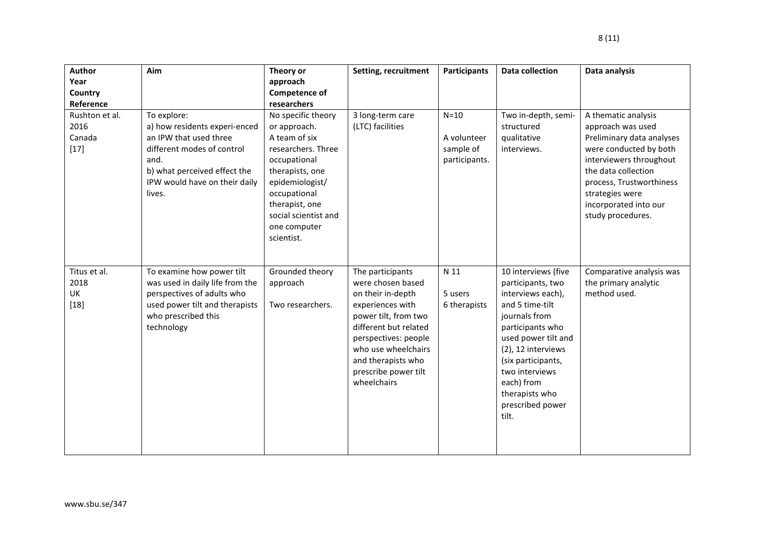| <b>Author</b>                               | Aim                                                                                                                                                                                     | Theory or                                                                                                                                                                                                               | Setting, recruitment                                                                                                                                                                                                                        | <b>Participants</b>                                 | <b>Data collection</b>                                                                                                                                                                                                                                                  | Data analysis                                                                                                                                                                                                                                  |
|---------------------------------------------|-----------------------------------------------------------------------------------------------------------------------------------------------------------------------------------------|-------------------------------------------------------------------------------------------------------------------------------------------------------------------------------------------------------------------------|---------------------------------------------------------------------------------------------------------------------------------------------------------------------------------------------------------------------------------------------|-----------------------------------------------------|-------------------------------------------------------------------------------------------------------------------------------------------------------------------------------------------------------------------------------------------------------------------------|------------------------------------------------------------------------------------------------------------------------------------------------------------------------------------------------------------------------------------------------|
| Year                                        |                                                                                                                                                                                         | approach                                                                                                                                                                                                                |                                                                                                                                                                                                                                             |                                                     |                                                                                                                                                                                                                                                                         |                                                                                                                                                                                                                                                |
| Country                                     |                                                                                                                                                                                         | <b>Competence of</b>                                                                                                                                                                                                    |                                                                                                                                                                                                                                             |                                                     |                                                                                                                                                                                                                                                                         |                                                                                                                                                                                                                                                |
| Reference                                   |                                                                                                                                                                                         | researchers                                                                                                                                                                                                             |                                                                                                                                                                                                                                             |                                                     |                                                                                                                                                                                                                                                                         |                                                                                                                                                                                                                                                |
| Rushton et al.<br>2016<br>Canada<br>$[17]$  | To explore:<br>a) how residents experi-enced<br>an IPW that used three<br>different modes of control<br>and.<br>b) what perceived effect the<br>IPW would have on their daily<br>lives. | No specific theory<br>or approach.<br>A team of six<br>researchers. Three<br>occupational<br>therapists, one<br>epidemiologist/<br>occupational<br>therapist, one<br>social scientist and<br>one computer<br>scientist. | 3 long-term care<br>(LTC) facilities                                                                                                                                                                                                        | $N=10$<br>A volunteer<br>sample of<br>participants. | Two in-depth, semi-<br>structured<br>qualitative<br>interviews.                                                                                                                                                                                                         | A thematic analysis<br>approach was used<br>Preliminary data analyses<br>were conducted by both<br>interviewers throughout<br>the data collection<br>process, Trustworthiness<br>strategies were<br>incorporated into our<br>study procedures. |
| Titus et al.<br>2018<br><b>UK</b><br>$[18]$ | To examine how power tilt<br>was used in daily life from the<br>perspectives of adults who<br>used power tilt and therapists<br>who prescribed this<br>technology                       | Grounded theory<br>approach<br>Two researchers.                                                                                                                                                                         | The participants<br>were chosen based<br>on their in-depth<br>experiences with<br>power tilt, from two<br>different but related<br>perspectives: people<br>who use wheelchairs<br>and therapists who<br>prescribe power tilt<br>wheelchairs | N 11<br>5 users<br>6 therapists                     | 10 interviews (five<br>participants, two<br>interviews each),<br>and 5 time-tilt<br>journals from<br>participants who<br>used power tilt and<br>(2), 12 interviews<br>(six participants,<br>two interviews<br>each) from<br>therapists who<br>prescribed power<br>tilt. | Comparative analysis was<br>the primary analytic<br>method used.                                                                                                                                                                               |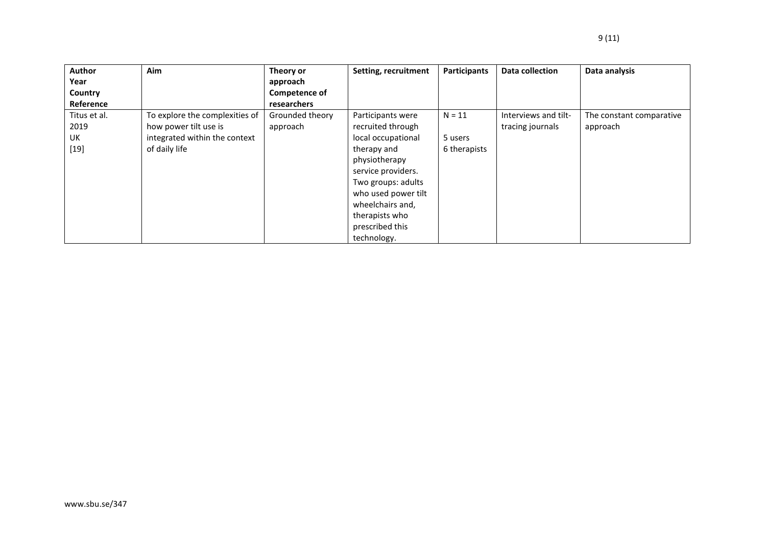| Author       | <b>Aim</b>                     | Theory or            | Setting, recruitment | Participants | Data collection      | Data analysis            |
|--------------|--------------------------------|----------------------|----------------------|--------------|----------------------|--------------------------|
| Year         |                                | approach             |                      |              |                      |                          |
| Country      |                                | <b>Competence of</b> |                      |              |                      |                          |
| Reference    |                                | <b>researchers</b>   |                      |              |                      |                          |
| Titus et al. | To explore the complexities of | Grounded theory      | Participants were    | $N = 11$     | Interviews and tilt- | The constant comparative |
| 2019         | how power tilt use is          | approach             | recruited through    |              | tracing journals     | approach                 |
| UK           | integrated within the context  |                      | local occupational   | 5 users      |                      |                          |
| $[19]$       | of daily life                  |                      | therapy and          | 6 therapists |                      |                          |
|              |                                |                      | physiotherapy        |              |                      |                          |
|              |                                |                      | service providers.   |              |                      |                          |
|              |                                |                      | Two groups: adults   |              |                      |                          |
|              |                                |                      | who used power tilt  |              |                      |                          |
|              |                                |                      | wheelchairs and,     |              |                      |                          |
|              |                                |                      | therapists who       |              |                      |                          |
|              |                                |                      | prescribed this      |              |                      |                          |
|              |                                |                      | technology.          |              |                      |                          |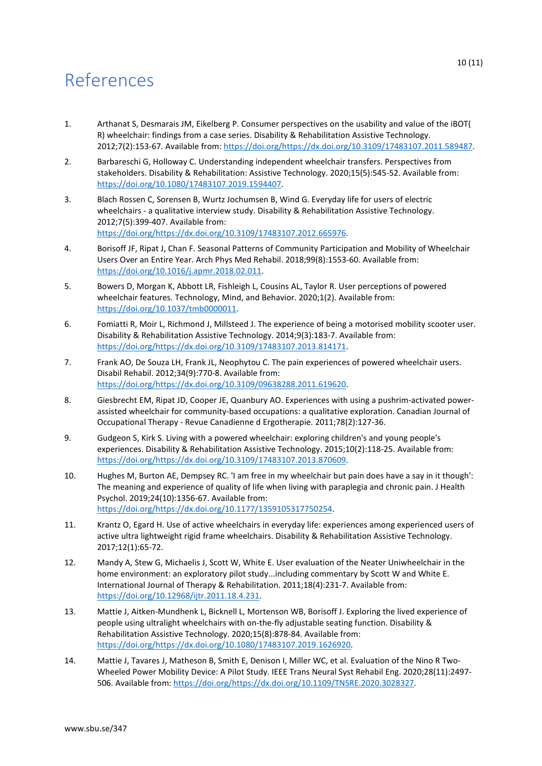## References

- 1. Arthanat S, Desmarais JM, Eikelberg P. Consumer perspectives on the usability and value of the iBOT( R) wheelchair: findings from a case series. Disability & Rehabilitation Assistive Technology. 2012;7(2):153-67. Available from: [https://doi.org/https://dx.doi.org/10.3109/17483107.2011.589487.](https://doi.org/https:/dx.doi.org/10.3109/17483107.2011.589487)
- 2. Barbareschi G, Holloway C. Understanding independent wheelchair transfers. Perspectives from stakeholders. Disability & Rehabilitation: Assistive Technology. 2020;15(5):545-52. Available from: [https://doi.org/10.1080/17483107.2019.1594407.](https://doi.org/10.1080/17483107.2019.1594407)
- 3. Blach Rossen C, Sorensen B, Wurtz Jochumsen B, Wind G. Everyday life for users of electric wheelchairs - a qualitative interview study. Disability & Rehabilitation Assistive Technology. 2012;7(5):399-407. Available from: [https://doi.org/https://dx.doi.org/10.3109/17483107.2012.665976.](https://doi.org/https:/dx.doi.org/10.3109/17483107.2012.665976)
- 4. Borisoff JF, Ripat J, Chan F. Seasonal Patterns of Community Participation and Mobility of Wheelchair Users Over an Entire Year. Arch Phys Med Rehabil. 2018;99(8):1553-60. Available from: [https://doi.org/10.1016/j.apmr.2018.02.011.](https://doi.org/10.1016/j.apmr.2018.02.011)
- 5. Bowers D, Morgan K, Abbott LR, Fishleigh L, Cousins AL, Taylor R. User perceptions of powered wheelchair features. Technology, Mind, and Behavior. 2020;1(2). Available from: [https://doi.org/10.1037/tmb0000011.](https://doi.org/10.1037/tmb0000011)
- 6. Fomiatti R, Moir L, Richmond J, Millsteed J. The experience of being a motorised mobility scooter user. Disability & Rehabilitation Assistive Technology. 2014;9(3):183-7. Available from: [https://doi.org/https://dx.doi.org/10.3109/17483107.2013.814171.](https://doi.org/https:/dx.doi.org/10.3109/17483107.2013.814171)
- 7. Frank AO, De Souza LH, Frank JL, Neophytou C. The pain experiences of powered wheelchair users. Disabil Rehabil. 2012;34(9):770-8. Available from: [https://doi.org/https://dx.doi.org/10.3109/09638288.2011.619620.](https://doi.org/https:/dx.doi.org/10.3109/09638288.2011.619620)
- 8. Giesbrecht EM, Ripat JD, Cooper JE, Quanbury AO. Experiences with using a pushrim-activated powerassisted wheelchair for community-based occupations: a qualitative exploration. Canadian Journal of Occupational Therapy - Revue Canadienne d Ergotherapie. 2011;78(2):127-36.
- 9. Gudgeon S, Kirk S. Living with a powered wheelchair: exploring children's and young people's experiences. Disability & Rehabilitation Assistive Technology. 2015;10(2):118-25. Available from: [https://doi.org/https://dx.doi.org/10.3109/17483107.2013.870609.](https://doi.org/https:/dx.doi.org/10.3109/17483107.2013.870609)
- 10. Hughes M, Burton AE, Dempsey RC. 'I am free in my wheelchair but pain does have a say in it though': The meaning and experience of quality of life when living with paraplegia and chronic pain. J Health Psychol. 2019;24(10):1356-67. Available from: [https://doi.org/https://dx.doi.org/10.1177/1359105317750254.](https://doi.org/https:/dx.doi.org/10.1177/1359105317750254)
- 11. Krantz O, Egard H. Use of active wheelchairs in everyday life: experiences among experienced users of active ultra lightweight rigid frame wheelchairs. Disability & Rehabilitation Assistive Technology. 2017;12(1):65-72.
- 12. Mandy A, Stew G, Michaelis J, Scott W, White E. User evaluation of the Neater Uniwheelchair in the home environment: an exploratory pilot study...including commentary by Scott W and White E. International Journal of Therapy & Rehabilitation. 2011;18(4):231-7. Available from: [https://doi.org/10.12968/ijtr.2011.18.4.231.](https://doi.org/10.12968/ijtr.2011.18.4.231)
- 13. Mattie J, Aitken-Mundhenk L, Bicknell L, Mortenson WB, Borisoff J. Exploring the lived experience of people using ultralight wheelchairs with on-the-fly adjustable seating function. Disability & Rehabilitation Assistive Technology. 2020;15(8):878-84. Available from: [https://doi.org/https://dx.doi.org/10.1080/17483107.2019.1626920.](https://doi.org/https:/dx.doi.org/10.1080/17483107.2019.1626920)
- 14. Mattie J, Tavares J, Matheson B, Smith E, Denison I, Miller WC, et al. Evaluation of the Nino R Two-Wheeled Power Mobility Device: A Pilot Study. IEEE Trans Neural Syst Rehabil Eng. 2020;28(11):2497- 506. Available from: [https://doi.org/https://dx.doi.org/10.1109/TNSRE.2020.3028327.](https://doi.org/https:/dx.doi.org/10.1109/TNSRE.2020.3028327)